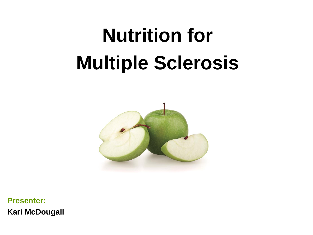# **Nutrition for Multiple Sclerosis**



**Presenter: Kari McDougall**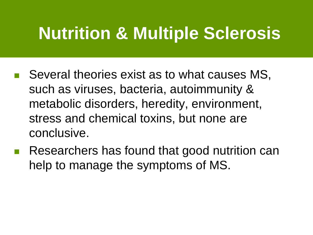#### **Nutrition & Multiple Sclerosis**

- Several theories exist as to what causes MS, such as viruses, bacteria, autoimmunity & metabolic disorders, heredity, environment, stress and chemical toxins, but none are conclusive.
- Researchers has found that good nutrition can help to manage the symptoms of MS.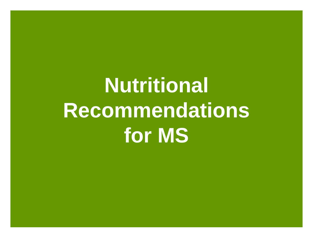# **Nutritional Recommendations for MS**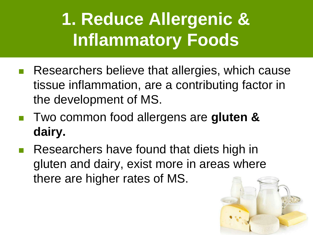# **1. Reduce Allergenic & Inflammatory Foods**

- Researchers believe that allergies, which cause tissue inflammation, are a contributing factor in the development of MS.
- Two common food allergens are gluten & **dairy.**
- Researchers have found that diets high in gluten and dairy, exist more in areas where there are higher rates of MS.

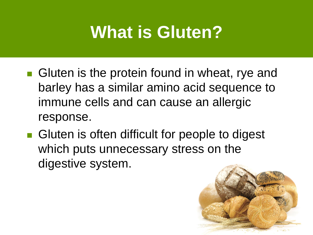#### **What is Gluten?**

- Gluten is the protein found in wheat, rye and barley has a similar amino acid sequence to immune cells and can cause an allergic response.
- Gluten is often difficult for people to digest which puts unnecessary stress on the digestive system.

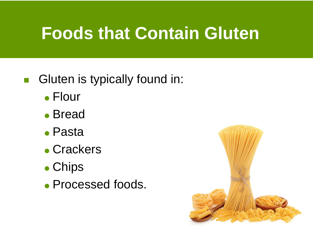#### **Foods that Contain Gluten**

#### **Gluten is typically found in:**

- Flour
- Bread
- Pasta
- Crackers
- Chips
- **Processed foods.**

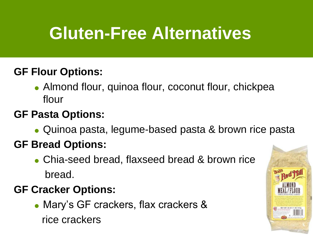### **Gluten-Free Alternatives**

#### **GF Flour Options:**

• Almond flour, quinoa flour, coconut flour, chickpea flour

#### **GF Pasta Options:**

Quinoa pasta, legume-based pasta & brown rice pasta

#### **GF Bread Options:**

 Chia-seed bread, flaxseed bread & brown rice bread.

#### **GF Cracker Options:**

 Mary's GF crackers, flax crackers & rice crackers

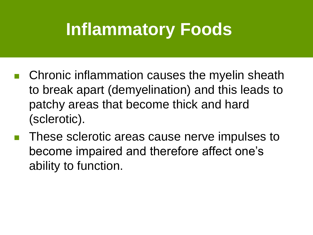#### **Inflammatory Foods**

- Chronic inflammation causes the myelin sheath to break apart (demyelination) and this leads to patchy areas that become thick and hard (sclerotic).
- These sclerotic areas cause nerve impulses to become impaired and therefore affect one's ability to function.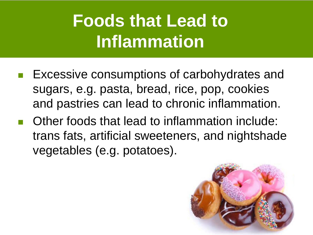## **Foods that Lead to Inflammation**

- Excessive consumptions of carbohydrates and sugars, e.g. pasta, bread, rice, pop, cookies and pastries can lead to chronic inflammation.
- Other foods that lead to inflammation include: trans fats, artificial sweeteners, and nightshade vegetables (e.g. potatoes).

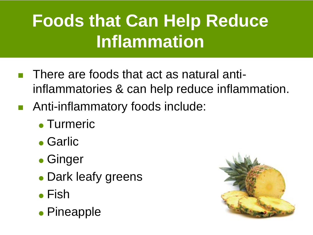# **Foods that Can Help Reduce Inflammation**

- There are foods that act as natural antiinflammatories & can help reduce inflammation.
- Anti-inflammatory foods include:
	- Turmeric
	- Garlic
	- Ginger
	- Dark leafy greens
	- **Fish**
	- Pineapple

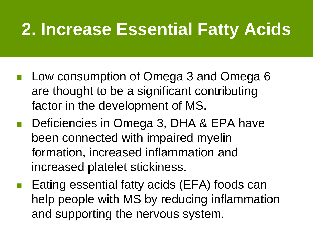#### **2. Increase Essential Fatty Acids**

- Low consumption of Omega 3 and Omega 6 are thought to be a significant contributing factor in the development of MS.
- Deficiencies in Omega 3, DHA & EPA have been connected with impaired myelin formation, increased inflammation and increased platelet stickiness.
- Eating essential fatty acids (EFA) foods can help people with MS by reducing inflammation and supporting the nervous system.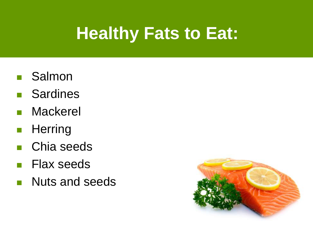## **Healthy Fats to Eat:**

- **B** Salmon
- **Sardines**
- **Mackerel**
- **Herring**
- Chia seeds
- **Flax seeds**
- **Nuts and seeds**

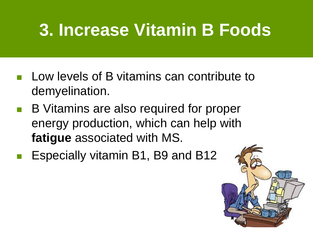## **3. Increase Vitamin B Foods**

- **Low levels of B vitamins can contribute to** demyelination.
- B Vitamins are also required for proper energy production, which can help with **fatigue** associated with MS.
- Especially vitamin B1, B9 and B12

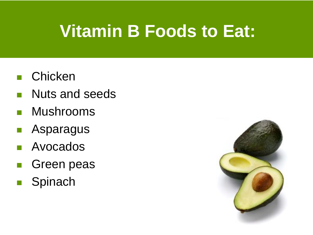### **Vitamin B Foods to Eat:**

- **n** Chicken
- **Nuts and seeds**
- **Nushrooms**
- **Asparagus**
- **Avocados**
- **Green peas**
- **Spinach**

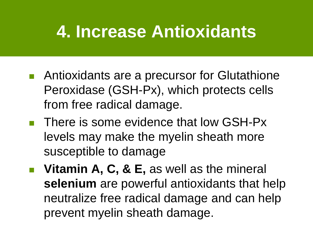#### **4. Increase Antioxidants**

- Antioxidants are a precursor for Glutathione Peroxidase (GSH-Px), which protects cells from free radical damage.
- There is some evidence that low GSH-Px levels may make the myelin sheath more susceptible to damage
- **Vitamin A, C, & E, as well as the mineral selenium** are powerful antioxidants that help neutralize free radical damage and can help prevent myelin sheath damage.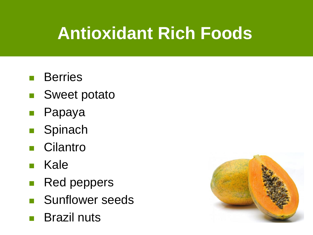## **Antioxidant Rich Foods**

- **Berries**
- Sweet potato
- Papaya
- **Spinach**
- **Cilantro**
- **Kale**
- **Red peppers**
- **Sunflower seeds**
- Brazil nuts

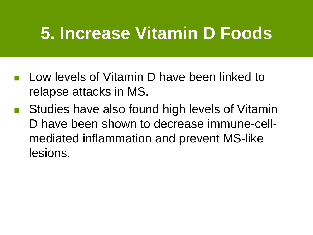### **5. Increase Vitamin D Foods**

- Low levels of Vitamin D have been linked to relapse attacks in MS.
- Studies have also found high levels of Vitamin D have been shown to decrease immune-cellmediated inflammation and prevent MS-like lesions.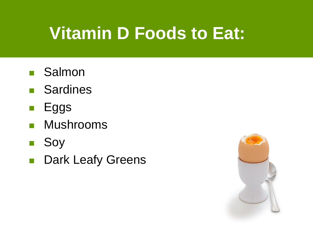## **Vitamin D Foods to Eat:**

- **Salmon**
- **Sardines**
- $\blacksquare$  Eggs
- **Mushrooms**
- Soy
- **Dark Leafy Greens**

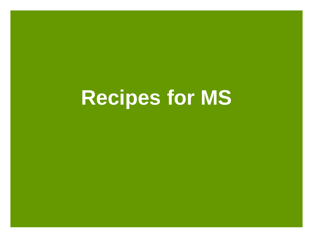# **Recipes for MS**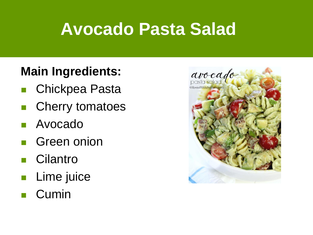#### **Avocado Pasta Salad**

#### **Main Ingredients:**

- Chickpea Pasta
- Cherry tomatoes
- Avocado
- Green onion
- **n** Cilantro
- **Lime juice**
- Cumin

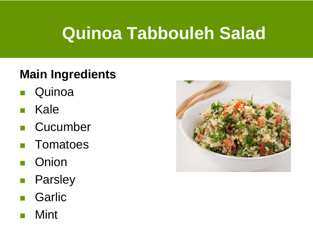### **Quinoa Tabbouleh Salad**

#### **Main Ingredients**

- **Quinoa**
- Kale
- **Cucumber**
- **Tomatoes**
- **Onion**
- Parsley
- **Garlic**
- Mint